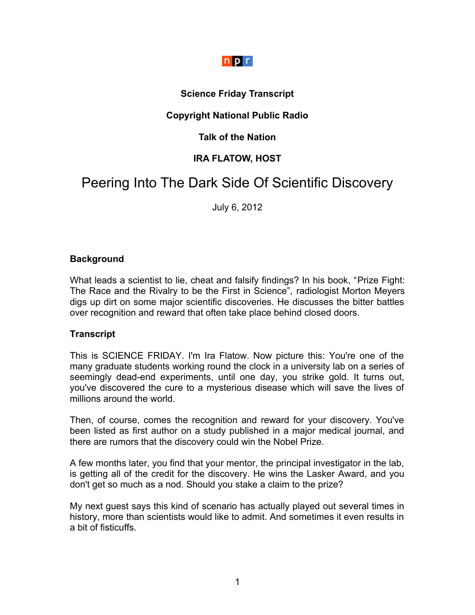# $n p r$

## **Science Friday Transcript**

## **Copyright National Public Radio**

## **Talk of the Nation**

# **IRA FLATOW, HOST**

# Peering Into The Dark Side Of Scientific Discovery

July 6, 2012

#### **Background**

What leads a scientist to lie, cheat and falsify findings? In his book, "Prize Fight: The Race and the Rivalry to be the First in Science", radiologist Morton Meyers digs up dirt on some major scientific discoveries. He discusses the bitter battles over recognition and reward that often take place behind closed doors.

#### **Transcript**

This is SCIENCE FRIDAY. I'm Ira Flatow. Now picture this: You're one of the many graduate students working round the clock in a university lab on a series of seemingly dead-end experiments, until one day, you strike gold. It turns out, you've discovered the cure to a mysterious disease which will save the lives of millions around the world.

Then, of course, comes the recognition and reward for your discovery. You've been listed as first author on a study published in a major medical journal, and there are rumors that the discovery could win the Nobel Prize.

A few months later, you find that your mentor, the principal investigator in the lab, is getting all of the credit for the discovery. He wins the Lasker Award, and you don't get so much as a nod. Should you stake a claim to the prize?

My next guest says this kind of scenario has actually played out several times in history, more than scientists would like to admit. And sometimes it even results in a bit of fisticuffs.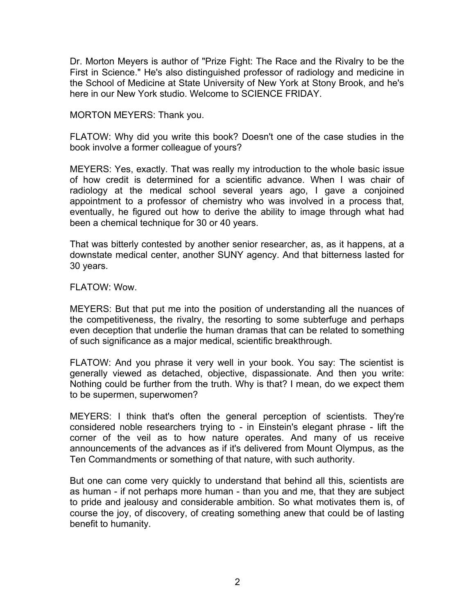Dr. Morton Meyers is author of "Prize Fight: The Race and the Rivalry to be the First in Science." He's also distinguished professor of radiology and medicine in the School of Medicine at State University of New York at Stony Brook, and he's here in our New York studio. Welcome to SCIENCE FRIDAY.

MORTON MEYERS: Thank you.

FLATOW: Why did you write this book? Doesn't one of the case studies in the book involve a former colleague of yours?

MEYERS: Yes, exactly. That was really my introduction to the whole basic issue of how credit is determined for a scientific advance. When I was chair of radiology at the medical school several years ago, I gave a conjoined appointment to a professor of chemistry who was involved in a process that, eventually, he figured out how to derive the ability to image through what had been a chemical technique for 30 or 40 years.

That was bitterly contested by another senior researcher, as, as it happens, at a downstate medical center, another SUNY agency. And that bitterness lasted for 30 years.

FLATOW: Wow.

MEYERS: But that put me into the position of understanding all the nuances of the competitiveness, the rivalry, the resorting to some subterfuge and perhaps even deception that underlie the human dramas that can be related to something of such significance as a major medical, scientific breakthrough.

FLATOW: And you phrase it very well in your book. You say: The scientist is generally viewed as detached, objective, dispassionate. And then you write: Nothing could be further from the truth. Why is that? I mean, do we expect them to be supermen, superwomen?

MEYERS: I think that's often the general perception of scientists. They're considered noble researchers trying to - in Einstein's elegant phrase - lift the corner of the veil as to how nature operates. And many of us receive announcements of the advances as if it's delivered from Mount Olympus, as the Ten Commandments or something of that nature, with such authority.

But one can come very quickly to understand that behind all this, scientists are as human - if not perhaps more human - than you and me, that they are subject to pride and jealousy and considerable ambition. So what motivates them is, of course the joy, of discovery, of creating something anew that could be of lasting benefit to humanity.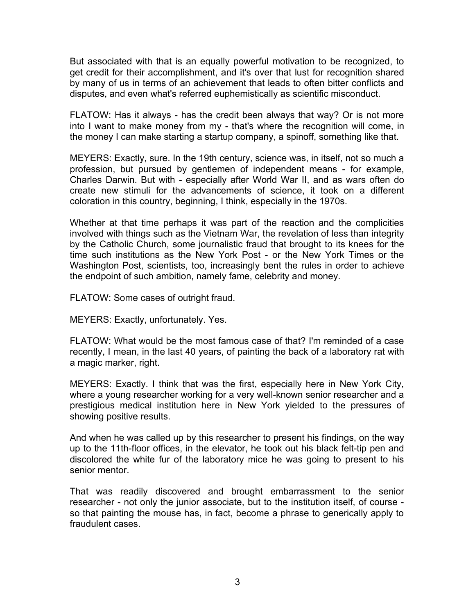But associated with that is an equally powerful motivation to be recognized, to get credit for their accomplishment, and it's over that lust for recognition shared by many of us in terms of an achievement that leads to often bitter conflicts and disputes, and even what's referred euphemistically as scientific misconduct.

FLATOW: Has it always - has the credit been always that way? Or is not more into I want to make money from my - that's where the recognition will come, in the money I can make starting a startup company, a spinoff, something like that.

MEYERS: Exactly, sure. In the 19th century, science was, in itself, not so much a profession, but pursued by gentlemen of independent means - for example, Charles Darwin. But with - especially after World War II, and as wars often do create new stimuli for the advancements of science, it took on a different coloration in this country, beginning, I think, especially in the 1970s.

Whether at that time perhaps it was part of the reaction and the complicities involved with things such as the Vietnam War, the revelation of less than integrity by the Catholic Church, some journalistic fraud that brought to its knees for the time such institutions as the New York Post - or the New York Times or the Washington Post, scientists, too, increasingly bent the rules in order to achieve the endpoint of such ambition, namely fame, celebrity and money.

FLATOW: Some cases of outright fraud.

MEYERS: Exactly, unfortunately. Yes.

FLATOW: What would be the most famous case of that? I'm reminded of a case recently, I mean, in the last 40 years, of painting the back of a laboratory rat with a magic marker, right.

MEYERS: Exactly. I think that was the first, especially here in New York City, where a young researcher working for a very well-known senior researcher and a prestigious medical institution here in New York yielded to the pressures of showing positive results.

And when he was called up by this researcher to present his findings, on the way up to the 11th-floor offices, in the elevator, he took out his black felt-tip pen and discolored the white fur of the laboratory mice he was going to present to his senior mentor.

That was readily discovered and brought embarrassment to the senior researcher - not only the junior associate, but to the institution itself, of course so that painting the mouse has, in fact, become a phrase to generically apply to fraudulent cases.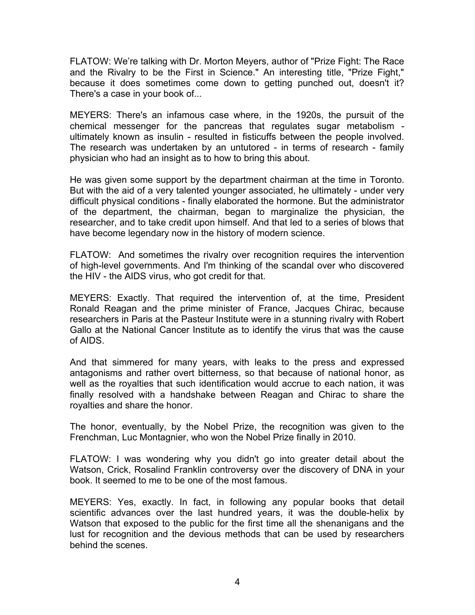FLATOW: We're talking with Dr. Morton Meyers, author of "Prize Fight: The Race and the Rivalry to be the First in Science." An interesting title, "Prize Fight," because it does sometimes come down to getting punched out, doesn't it? There's a case in your book of...

MEYERS: There's an infamous case where, in the 1920s, the pursuit of the chemical messenger for the pancreas that regulates sugar metabolism ultimately known as insulin - resulted in fisticuffs between the people involved. The research was undertaken by an untutored - in terms of research - family physician who had an insight as to how to bring this about.

He was given some support by the department chairman at the time in Toronto. But with the aid of a very talented younger associated, he ultimately - under very difficult physical conditions - finally elaborated the hormone. But the administrator of the department, the chairman, began to marginalize the physician, the researcher, and to take credit upon himself. And that led to a series of blows that have become legendary now in the history of modern science.

FLATOW: And sometimes the rivalry over recognition requires the intervention of high-level governments. And I'm thinking of the scandal over who discovered the HIV - the AIDS virus, who got credit for that.

MEYERS: Exactly. That required the intervention of, at the time, President Ronald Reagan and the prime minister of France, Jacques Chirac, because researchers in Paris at the Pasteur Institute were in a stunning rivalry with Robert Gallo at the National Cancer Institute as to identify the virus that was the cause of AIDS.

And that simmered for many years, with leaks to the press and expressed antagonisms and rather overt bitterness, so that because of national honor, as well as the royalties that such identification would accrue to each nation, it was finally resolved with a handshake between Reagan and Chirac to share the royalties and share the honor.

The honor, eventually, by the Nobel Prize, the recognition was given to the Frenchman, Luc Montagnier, who won the Nobel Prize finally in 2010.

FLATOW: I was wondering why you didn't go into greater detail about the Watson, Crick, Rosalind Franklin controversy over the discovery of DNA in your book. It seemed to me to be one of the most famous.

MEYERS: Yes, exactly. In fact, in following any popular books that detail scientific advances over the last hundred years, it was the double-helix by Watson that exposed to the public for the first time all the shenanigans and the lust for recognition and the devious methods that can be used by researchers behind the scenes.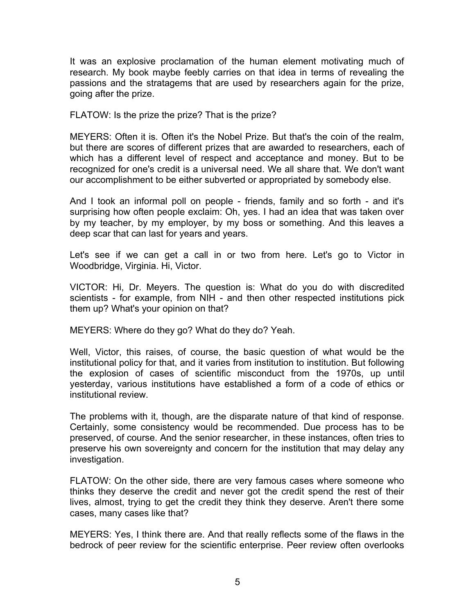It was an explosive proclamation of the human element motivating much of research. My book maybe feebly carries on that idea in terms of revealing the passions and the stratagems that are used by researchers again for the prize, going after the prize.

FLATOW: Is the prize the prize? That is the prize?

MEYERS: Often it is. Often it's the Nobel Prize. But that's the coin of the realm, but there are scores of different prizes that are awarded to researchers, each of which has a different level of respect and acceptance and money. But to be recognized for one's credit is a universal need. We all share that. We don't want our accomplishment to be either subverted or appropriated by somebody else.

And I took an informal poll on people - friends, family and so forth - and it's surprising how often people exclaim: Oh, yes. I had an idea that was taken over by my teacher, by my employer, by my boss or something. And this leaves a deep scar that can last for years and years.

Let's see if we can get a call in or two from here. Let's go to Victor in Woodbridge, Virginia. Hi, Victor.

VICTOR: Hi, Dr. Meyers. The question is: What do you do with discredited scientists - for example, from NIH - and then other respected institutions pick them up? What's your opinion on that?

MEYERS: Where do they go? What do they do? Yeah.

Well, Victor, this raises, of course, the basic question of what would be the institutional policy for that, and it varies from institution to institution. But following the explosion of cases of scientific misconduct from the 1970s, up until yesterday, various institutions have established a form of a code of ethics or institutional review.

The problems with it, though, are the disparate nature of that kind of response. Certainly, some consistency would be recommended. Due process has to be preserved, of course. And the senior researcher, in these instances, often tries to preserve his own sovereignty and concern for the institution that may delay any investigation.

FLATOW: On the other side, there are very famous cases where someone who thinks they deserve the credit and never got the credit spend the rest of their lives, almost, trying to get the credit they think they deserve. Aren't there some cases, many cases like that?

MEYERS: Yes, I think there are. And that really reflects some of the flaws in the bedrock of peer review for the scientific enterprise. Peer review often overlooks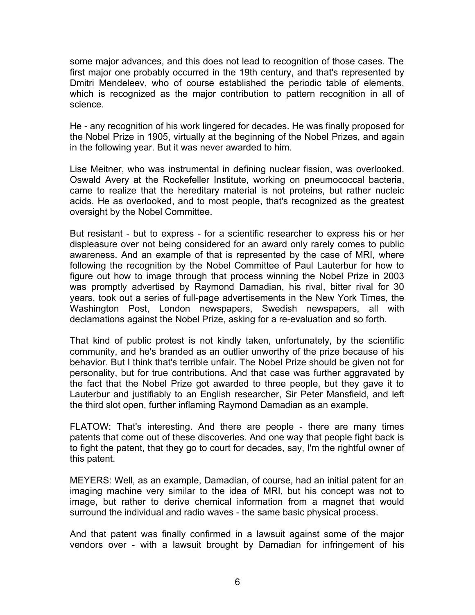some major advances, and this does not lead to recognition of those cases. The first major one probably occurred in the 19th century, and that's represented by Dmitri Mendeleev, who of course established the periodic table of elements, which is recognized as the major contribution to pattern recognition in all of science.

He - any recognition of his work lingered for decades. He was finally proposed for the Nobel Prize in 1905, virtually at the beginning of the Nobel Prizes, and again in the following year. But it was never awarded to him.

Lise Meitner, who was instrumental in defining nuclear fission, was overlooked. Oswald Avery at the Rockefeller Institute, working on pneumococcal bacteria, came to realize that the hereditary material is not proteins, but rather nucleic acids. He as overlooked, and to most people, that's recognized as the greatest oversight by the Nobel Committee.

But resistant - but to express - for a scientific researcher to express his or her displeasure over not being considered for an award only rarely comes to public awareness. And an example of that is represented by the case of MRI, where following the recognition by the Nobel Committee of Paul Lauterbur for how to figure out how to image through that process winning the Nobel Prize in 2003 was promptly advertised by Raymond Damadian, his rival, bitter rival for 30 years, took out a series of full-page advertisements in the New York Times, the Washington Post, London newspapers, Swedish newspapers, all with declamations against the Nobel Prize, asking for a re-evaluation and so forth.

That kind of public protest is not kindly taken, unfortunately, by the scientific community, and he's branded as an outlier unworthy of the prize because of his behavior. But I think that's terrible unfair. The Nobel Prize should be given not for personality, but for true contributions. And that case was further aggravated by the fact that the Nobel Prize got awarded to three people, but they gave it to Lauterbur and justifiably to an English researcher, Sir Peter Mansfield, and left the third slot open, further inflaming Raymond Damadian as an example.

FLATOW: That's interesting. And there are people - there are many times patents that come out of these discoveries. And one way that people fight back is to fight the patent, that they go to court for decades, say, I'm the rightful owner of this patent.

MEYERS: Well, as an example, Damadian, of course, had an initial patent for an imaging machine very similar to the idea of MRI, but his concept was not to image, but rather to derive chemical information from a magnet that would surround the individual and radio waves - the same basic physical process.

And that patent was finally confirmed in a lawsuit against some of the major vendors over - with a lawsuit brought by Damadian for infringement of his